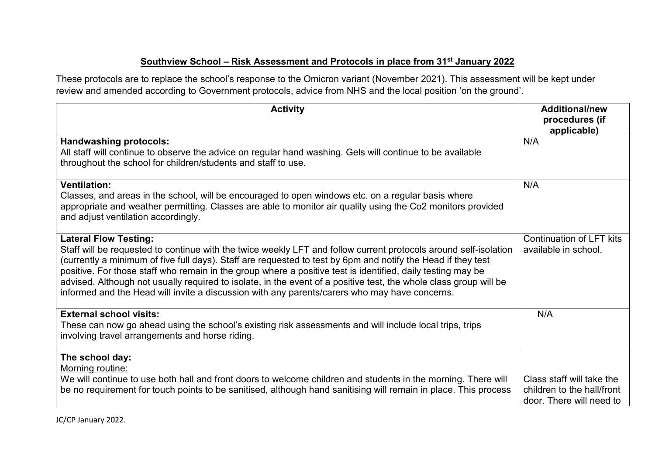## **Southview School – Risk Assessment and Protocols in place from 31st January 2022**

These protocols are to replace the school's response to the Omicron variant (November 2021). This assessment will be kept under review and amended according to Government protocols, advice from NHS and the local position 'on the ground'.

| <b>Activity</b>                                                                                                                                                                                                                                                                                                                                                                                                                                                                                                                                                                                       | <b>Additional/new</b><br>procedures (if<br>applicable)                              |
|-------------------------------------------------------------------------------------------------------------------------------------------------------------------------------------------------------------------------------------------------------------------------------------------------------------------------------------------------------------------------------------------------------------------------------------------------------------------------------------------------------------------------------------------------------------------------------------------------------|-------------------------------------------------------------------------------------|
| <b>Handwashing protocols:</b><br>All staff will continue to observe the advice on regular hand washing. Gels will continue to be available<br>throughout the school for children/students and staff to use.                                                                                                                                                                                                                                                                                                                                                                                           | N/A                                                                                 |
| <b>Ventilation:</b><br>Classes, and areas in the school, will be encouraged to open windows etc. on a regular basis where<br>appropriate and weather permitting. Classes are able to monitor air quality using the Co2 monitors provided<br>and adjust ventilation accordingly.                                                                                                                                                                                                                                                                                                                       | N/A                                                                                 |
| <b>Lateral Flow Testing:</b><br>Staff will be requested to continue with the twice weekly LFT and follow current protocols around self-isolation<br>(currently a minimum of five full days). Staff are requested to test by 6pm and notify the Head if they test<br>positive. For those staff who remain in the group where a positive test is identified, daily testing may be<br>advised. Although not usually required to isolate, in the event of a positive test, the whole class group will be<br>informed and the Head will invite a discussion with any parents/carers who may have concerns. | <b>Continuation of LFT kits</b><br>available in school.                             |
| <b>External school visits:</b><br>These can now go ahead using the school's existing risk assessments and will include local trips, trips<br>involving travel arrangements and horse riding.                                                                                                                                                                                                                                                                                                                                                                                                          | N/A                                                                                 |
| The school day:<br>Morning routine:<br>We will continue to use both hall and front doors to welcome children and students in the morning. There will<br>be no requirement for touch points to be sanitised, although hand sanitising will remain in place. This process                                                                                                                                                                                                                                                                                                                               | Class staff will take the<br>children to the hall/front<br>door. There will need to |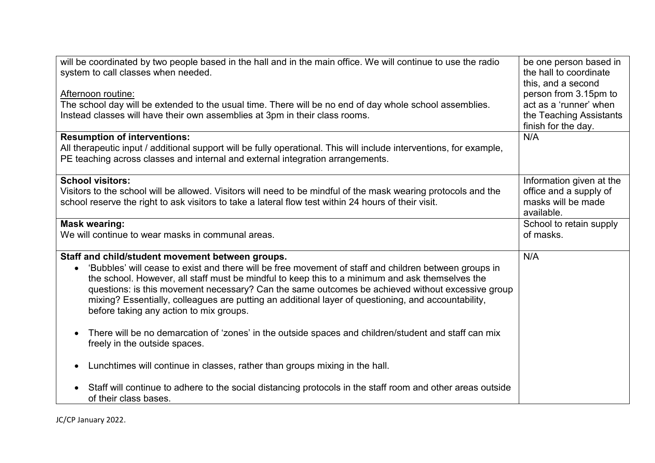| will be coordinated by two people based in the hall and in the main office. We will continue to use the radio                                             | be one person based in                         |
|-----------------------------------------------------------------------------------------------------------------------------------------------------------|------------------------------------------------|
| system to call classes when needed.                                                                                                                       | the hall to coordinate<br>this, and a second   |
| Afternoon routine:                                                                                                                                        | person from 3.15pm to                          |
| The school day will be extended to the usual time. There will be no end of day whole school assemblies.                                                   | act as a 'runner' when                         |
| Instead classes will have their own assemblies at 3pm in their class rooms.                                                                               | the Teaching Assistants<br>finish for the day. |
| <b>Resumption of interventions:</b>                                                                                                                       | N/A                                            |
| All therapeutic input / additional support will be fully operational. This will include interventions, for example,                                       |                                                |
| PE teaching across classes and internal and external integration arrangements.                                                                            |                                                |
| <b>School visitors:</b>                                                                                                                                   | Information given at the                       |
| Visitors to the school will be allowed. Visitors will need to be mindful of the mask wearing protocols and the                                            | office and a supply of                         |
| school reserve the right to ask visitors to take a lateral flow test within 24 hours of their visit.                                                      | masks will be made<br>available.               |
| <b>Mask wearing:</b>                                                                                                                                      | School to retain supply                        |
| We will continue to wear masks in communal areas.                                                                                                         | of masks.                                      |
|                                                                                                                                                           |                                                |
| Staff and child/student movement between groups.<br>'Bubbles' will cease to exist and there will be free movement of staff and children between groups in | N/A                                            |
| the school. However, all staff must be mindful to keep this to a minimum and ask themselves the                                                           |                                                |
| questions: is this movement necessary? Can the same outcomes be achieved without excessive group                                                          |                                                |
| mixing? Essentially, colleagues are putting an additional layer of questioning, and accountability,                                                       |                                                |
| before taking any action to mix groups.                                                                                                                   |                                                |
| There will be no demarcation of 'zones' in the outside spaces and children/student and staff can mix                                                      |                                                |
| freely in the outside spaces.                                                                                                                             |                                                |
|                                                                                                                                                           |                                                |
| Lunchtimes will continue in classes, rather than groups mixing in the hall.                                                                               |                                                |
| Staff will continue to adhere to the social distancing protocols in the staff room and other areas outside                                                |                                                |
| of their class bases.                                                                                                                                     |                                                |

JC/CP January 2022.